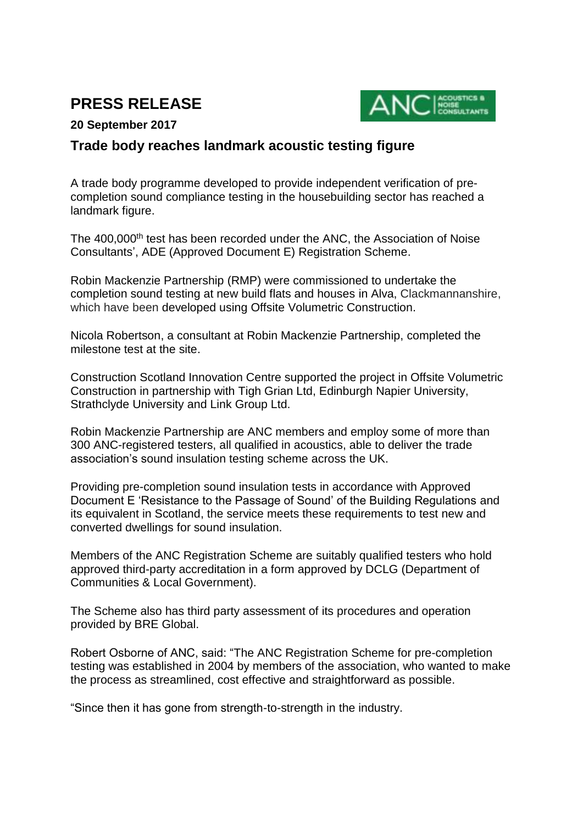# **PRESS RELEASE**



## **20 September 2017**

# **Trade body reaches landmark acoustic testing figure**

A trade body programme developed to provide independent verification of precompletion sound compliance testing in the housebuilding sector has reached a landmark figure.

The 400,000<sup>th</sup> test has been recorded under the ANC, the Association of Noise Consultants', ADE (Approved Document E) Registration Scheme.

Robin Mackenzie Partnership (RMP) were commissioned to undertake the completion sound testing at new build flats and houses in Alva, Clackmannanshire, which have been developed using Offsite Volumetric Construction.

Nicola Robertson, a consultant at Robin Mackenzie Partnership, completed the milestone test at the site.

Construction Scotland Innovation Centre supported the project in Offsite Volumetric Construction in partnership with Tigh Grian Ltd, Edinburgh Napier University, Strathclyde University and Link Group Ltd.

Robin Mackenzie Partnership are ANC members and employ some of more than 300 ANC-registered testers, all qualified in acoustics, able to deliver the trade association's sound insulation testing scheme across the UK.

Providing pre-completion sound insulation tests in accordance with Approved Document E 'Resistance to the Passage of Sound' of the Building Regulations and its equivalent in Scotland, the service meets these requirements to test new and converted dwellings for sound insulation.

Members of the ANC Registration Scheme are suitably qualified testers who hold approved third-party accreditation in a form approved by DCLG (Department of Communities & Local Government).

The Scheme also has third party assessment of its procedures and operation provided by BRE Global.

Robert Osborne of ANC, said: "The ANC Registration Scheme for pre-completion testing was established in 2004 by members of the association, who wanted to make the process as streamlined, cost effective and straightforward as possible.

"Since then it has gone from strength-to-strength in the industry.